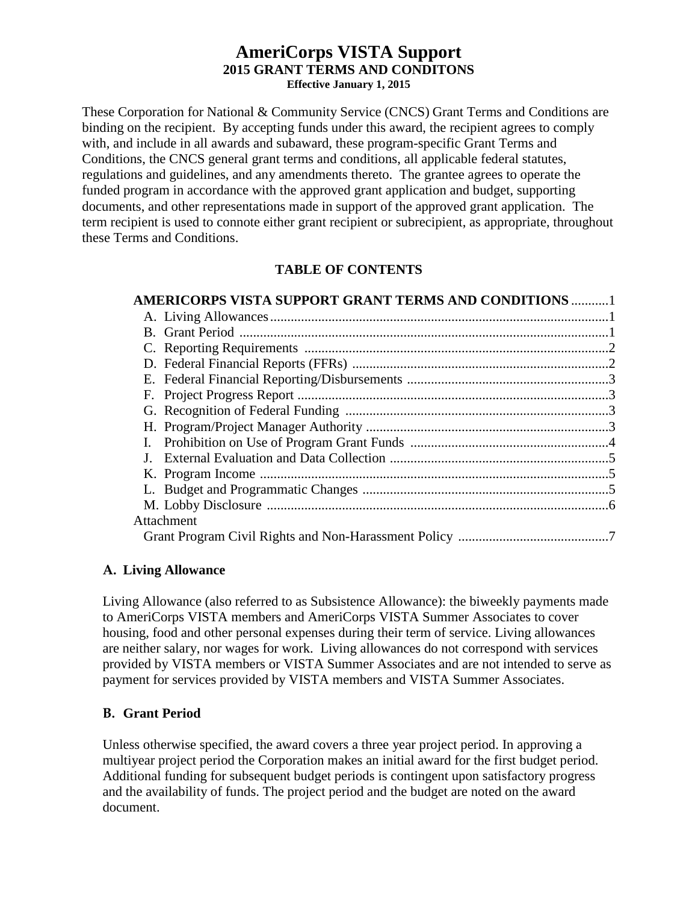### **AmeriCorps VISTA Support 2015 GRANT TERMS AND CONDITONS Effective January 1, 2015**

These Corporation for National & Community Service (CNCS) Grant Terms and Conditions are binding on the recipient. By accepting funds under this award, the recipient agrees to comply with, and include in all awards and subaward, these program-specific Grant Terms and Conditions, the CNCS general grant terms and conditions, all applicable federal statutes, regulations and guidelines, and any amendments thereto. The grantee agrees to operate the funded program in accordance with the approved grant application and budget, supporting documents, and other representations made in support of the approved grant application. The term recipient is used to connote either grant recipient or subrecipient, as appropriate, throughout these Terms and Conditions.

## **TABLE OF CONTENTS**

| <b>AMERICORPS VISTA SUPPORT GRANT TERMS AND CONDITIONS 1</b> |  |
|--------------------------------------------------------------|--|
|                                                              |  |
|                                                              |  |
|                                                              |  |
|                                                              |  |
|                                                              |  |
|                                                              |  |
|                                                              |  |
|                                                              |  |
|                                                              |  |
|                                                              |  |
|                                                              |  |
|                                                              |  |
|                                                              |  |
| Attachment                                                   |  |
|                                                              |  |

## **A. Living Allowance**

Living Allowance (also referred to as Subsistence Allowance): the biweekly payments made to AmeriCorps VISTA members and AmeriCorps VISTA Summer Associates to cover housing, food and other personal expenses during their term of service. Living allowances are neither salary, nor wages for work. Living allowances do not correspond with services provided by VISTA members or VISTA Summer Associates and are not intended to serve as payment for services provided by VISTA members and VISTA Summer Associates.

# **B. Grant Period**

Unless otherwise specified, the award covers a three year project period. In approving a multiyear project period the Corporation makes an initial award for the first budget period. Additional funding for subsequent budget periods is contingent upon satisfactory progress and the availability of funds. The project period and the budget are noted on the award document.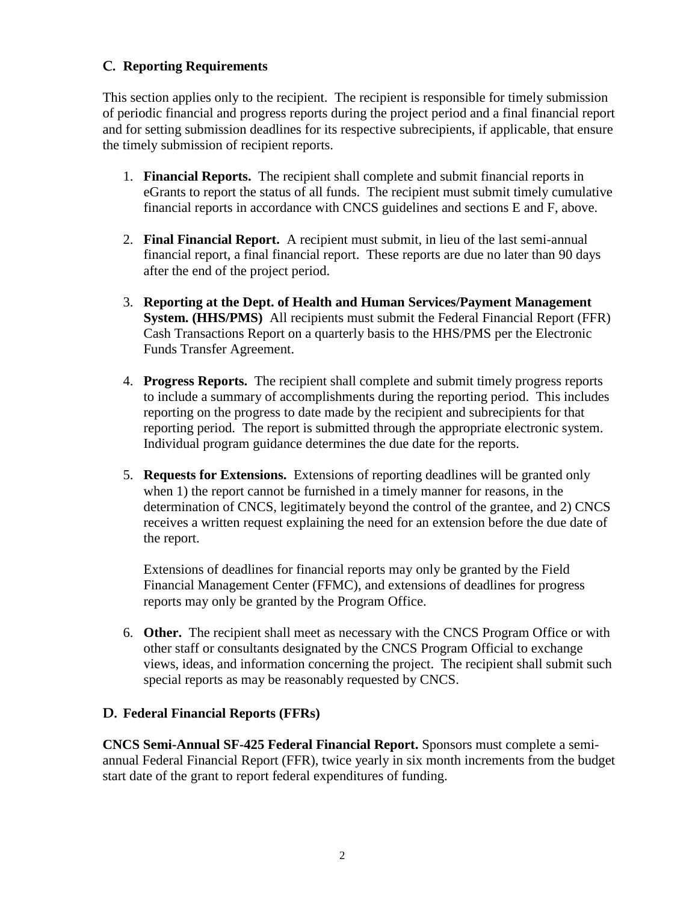## **C. Reporting Requirements**

This section applies only to the recipient. The recipient is responsible for timely submission of periodic financial and progress reports during the project period and a final financial report and for setting submission deadlines for its respective subrecipients, if applicable, that ensure the timely submission of recipient reports.

- 1. **Financial Reports.** The recipient shall complete and submit financial reports in eGrants to report the status of all funds. The recipient must submit timely cumulative financial reports in accordance with CNCS guidelines and sections E and F, above.
- 2. **Final Financial Report.** A recipient must submit, in lieu of the last semi-annual financial report, a final financial report. These reports are due no later than 90 days after the end of the project period.
- 3. **Reporting at the Dept. of Health and Human Services/Payment Management System. (HHS/PMS)** All recipients must submit the Federal Financial Report (FFR) Cash Transactions Report on a quarterly basis to the HHS/PMS per the Electronic Funds Transfer Agreement.
- 4. **Progress Reports.** The recipient shall complete and submit timely progress reports to include a summary of accomplishments during the reporting period. This includes reporting on the progress to date made by the recipient and subrecipients for that reporting period. The report is submitted through the appropriate electronic system. Individual program guidance determines the due date for the reports.
- 5. **Requests for Extensions.** Extensions of reporting deadlines will be granted only when 1) the report cannot be furnished in a timely manner for reasons, in the determination of CNCS, legitimately beyond the control of the grantee, and 2) CNCS receives a written request explaining the need for an extension before the due date of the report.

Extensions of deadlines for financial reports may only be granted by the Field Financial Management Center (FFMC), and extensions of deadlines for progress reports may only be granted by the Program Office.

6. **Other.** The recipient shall meet as necessary with the CNCS Program Office or with other staff or consultants designated by the CNCS Program Official to exchange views, ideas, and information concerning the project. The recipient shall submit such special reports as may be reasonably requested by CNCS.

## **D. Federal Financial Reports (FFRs)**

**CNCS Semi-Annual SF-425 Federal Financial Report.** Sponsors must complete a semiannual Federal Financial Report (FFR), twice yearly in six month increments from the budget start date of the grant to report federal expenditures of funding.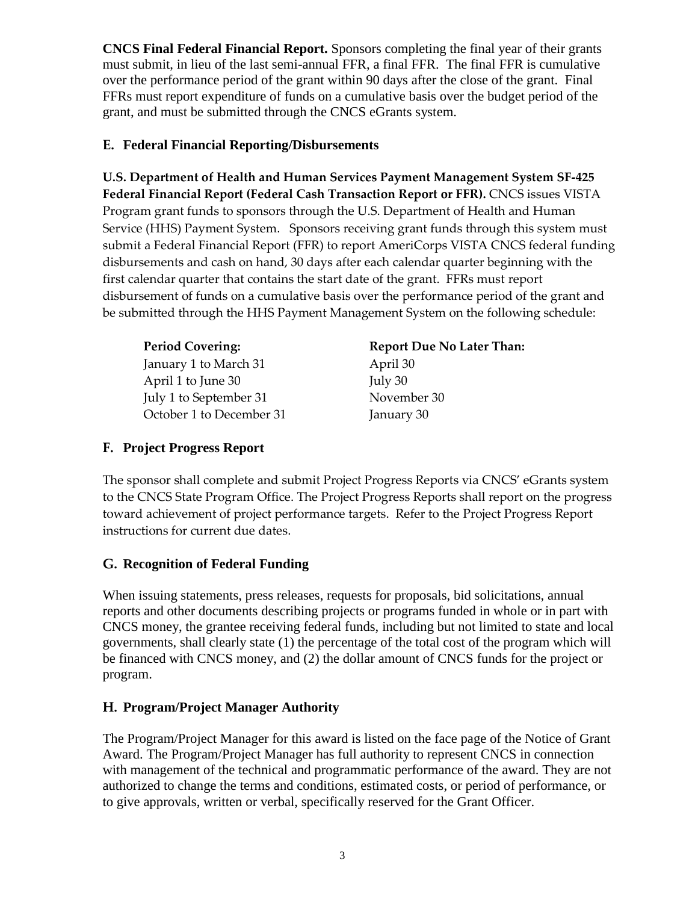**CNCS Final Federal Financial Report.** Sponsors completing the final year of their grants must submit, in lieu of the last semi-annual FFR, a final FFR. The final FFR is cumulative over the performance period of the grant within 90 days after the close of the grant. Final FFRs must report expenditure of funds on a cumulative basis over the budget period of the grant, and must be submitted through the CNCS eGrants system.

## **E. Federal Financial Reporting/Disbursements**

**U.S. Department of Health and Human Services Payment Management System SF-425 Federal Financial Report (Federal Cash Transaction Report or FFR).** CNCS issues VISTA Program grant funds to sponsors through the U.S. Department of Health and Human Service (HHS) Payment System. Sponsors receiving grant funds through this system must submit a Federal Financial Report (FFR) to report AmeriCorps VISTA CNCS federal funding disbursements and cash on hand, 30 days after each calendar quarter beginning with the first calendar quarter that contains the start date of the grant. FFRs must report disbursement of funds on a cumulative basis over the performance period of the grant and be submitted through the HHS Payment Management System on the following schedule:

| <b>Period Covering:</b>  | <b>Report Due No Later Than:</b> |
|--------------------------|----------------------------------|
| January 1 to March 31    | April 30                         |
| April 1 to June 30       | July 30                          |
| July 1 to September 31   | November 30                      |
| October 1 to December 31 | January 30                       |

## **F. Project Progress Report**

The sponsor shall complete and submit Project Progress Reports via CNCS' eGrants system to the CNCS State Program Office. The Project Progress Reports shall report on the progress toward achievement of project performance targets. Refer to the Project Progress Report instructions for current due dates.

# **G. Recognition of Federal Funding**

When issuing statements, press releases, requests for proposals, bid solicitations, annual reports and other documents describing projects or programs funded in whole or in part with CNCS money, the grantee receiving federal funds, including but not limited to state and local governments, shall clearly state (1) the percentage of the total cost of the program which will be financed with CNCS money, and (2) the dollar amount of CNCS funds for the project or program.

# **H. Program/Project Manager Authority**

The Program/Project Manager for this award is listed on the face page of the Notice of Grant Award. The Program/Project Manager has full authority to represent CNCS in connection with management of the technical and programmatic performance of the award. They are not authorized to change the terms and conditions, estimated costs, or period of performance, or to give approvals, written or verbal, specifically reserved for the Grant Officer.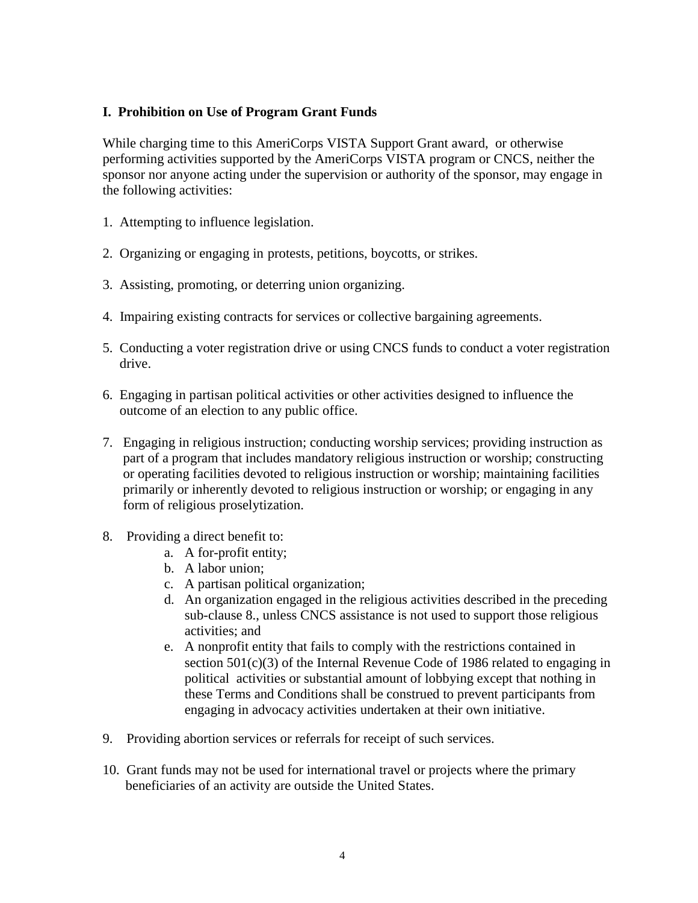### **I. Prohibition on Use of Program Grant Funds**

While charging time to this AmeriCorps VISTA Support Grant award, or otherwise performing activities supported by the AmeriCorps VISTA program or CNCS, neither the sponsor nor anyone acting under the supervision or authority of the sponsor, may engage in the following activities:

- 1. Attempting to influence legislation.
- 2. Organizing or engaging in protests, petitions, boycotts, or strikes.
- 3. Assisting, promoting, or deterring union organizing.
- 4. Impairing existing contracts for services or collective bargaining agreements.
- 5. Conducting a voter registration drive or using CNCS funds to conduct a voter registration drive.
- 6. Engaging in partisan political activities or other activities designed to influence the outcome of an election to any public office.
- 7. Engaging in religious instruction; conducting worship services; providing instruction as part of a program that includes mandatory religious instruction or worship; constructing or operating facilities devoted to religious instruction or worship; maintaining facilities primarily or inherently devoted to religious instruction or worship; or engaging in any form of religious proselytization.
- 8. Providing a direct benefit to:
	- a. A for-profit entity;
	- b. A labor union;
	- c. A partisan political organization;
	- d. An organization engaged in the religious activities described in the preceding sub-clause 8., unless CNCS assistance is not used to support those religious activities; and
	- e. A nonprofit entity that fails to comply with the restrictions contained in section 501(c)(3) of the Internal Revenue Code of 1986 related to engaging in political activities or substantial amount of lobbying except that nothing in these Terms and Conditions shall be construed to prevent participants from engaging in advocacy activities undertaken at their own initiative.
- 9. Providing abortion services or referrals for receipt of such services.
- 10. Grant funds may not be used for international travel or projects where the primary beneficiaries of an activity are outside the United States.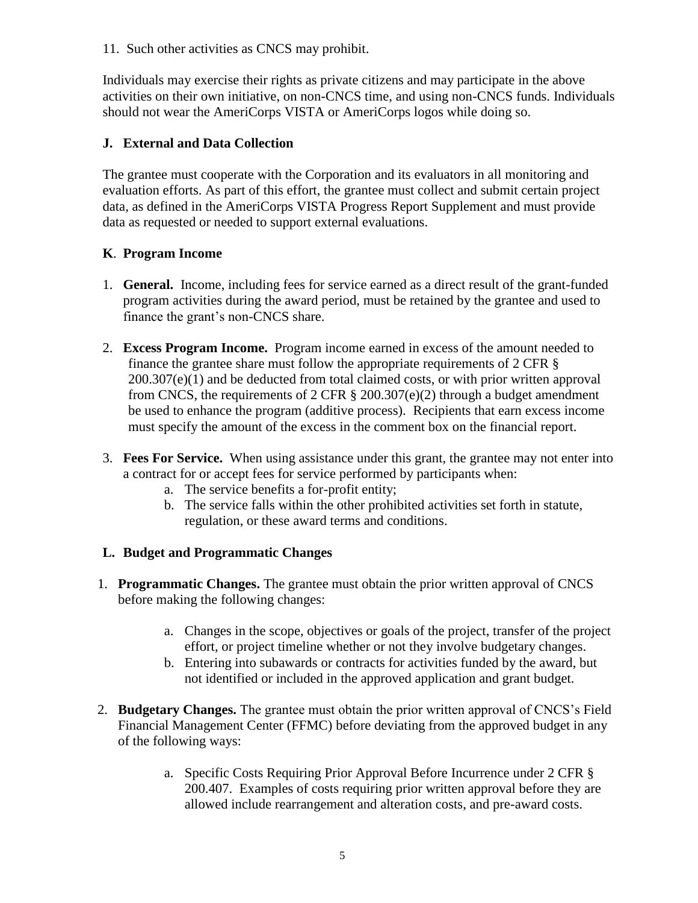11. Such other activities as CNCS may prohibit.

Individuals may exercise their rights as private citizens and may participate in the above activities on their own initiative, on non-CNCS time, and using non-CNCS funds. Individuals should not wear the AmeriCorps VISTA or AmeriCorps logos while doing so.

## **J. External and Data Collection**

The grantee must cooperate with the Corporation and its evaluators in all monitoring and evaluation efforts. As part of this effort, the grantee must collect and submit certain project data, as defined in the AmeriCorps VISTA Progress Report Supplement and must provide data as requested or needed to support external evaluations.

### **K**. **Program Income**

- 1. **General.** Income, including fees for service earned as a direct result of the grant-funded program activities during the award period, must be retained by the grantee and used to finance the grant's non-CNCS share.
- 2. **Excess Program Income.** Program income earned in excess of the amount needed to finance the grantee share must follow the appropriate requirements of 2 CFR §  $200.307(e)(1)$  and be deducted from total claimed costs, or with prior written approval from CNCS, the requirements of 2 CFR  $\S$  200.307(e)(2) through a budget amendment be used to enhance the program (additive process). Recipients that earn excess income must specify the amount of the excess in the comment box on the financial report.
- 3. **Fees For Service.** When using assistance under this grant, the grantee may not enter into a contract for or accept fees for service performed by participants when:
	- a. The service benefits a for-profit entity;
	- b. The service falls within the other prohibited activities set forth in statute, regulation, or these award terms and conditions.

#### **L. Budget and Programmatic Changes**

- 1. **Programmatic Changes.** The grantee must obtain the prior written approval of CNCS before making the following changes:
	- a. Changes in the scope, objectives or goals of the project, transfer of the project effort, or project timeline whether or not they involve budgetary changes.
	- b. Entering into subawards or contracts for activities funded by the award, but not identified or included in the approved application and grant budget.
- 2. **Budgetary Changes.** The grantee must obtain the prior written approval of CNCS's Field Financial Management Center (FFMC) before deviating from the approved budget in any of the following ways:
	- a. Specific Costs Requiring Prior Approval Before Incurrence under 2 CFR § 200.407. Examples of costs requiring prior written approval before they are allowed include rearrangement and alteration costs, and pre-award costs.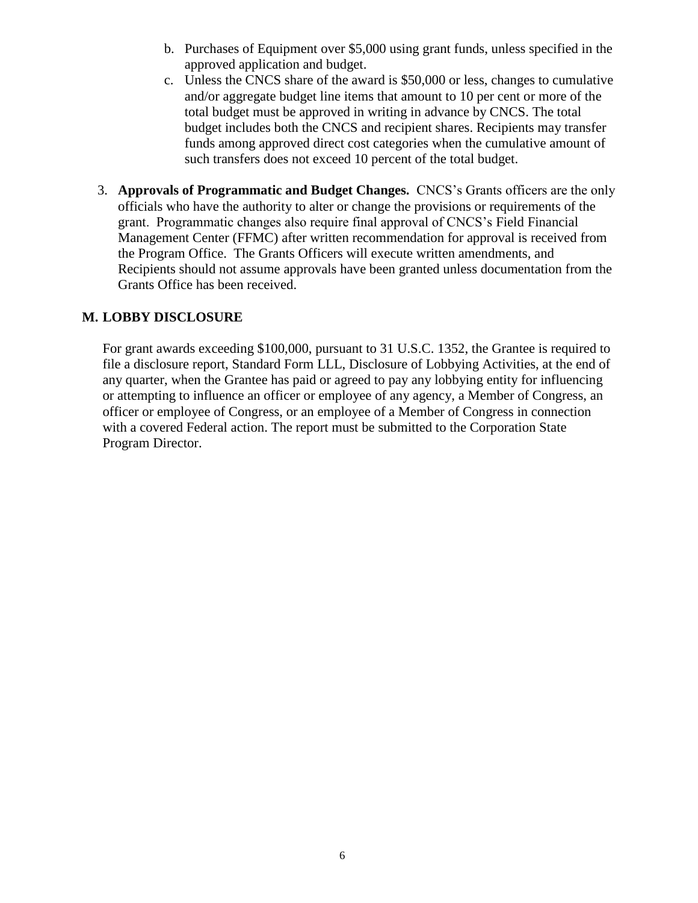- b. Purchases of Equipment over \$5,000 using grant funds, unless specified in the approved application and budget.
- c. Unless the CNCS share of the award is \$50,000 or less, changes to cumulative and/or aggregate budget line items that amount to 10 per cent or more of the total budget must be approved in writing in advance by CNCS. The total budget includes both the CNCS and recipient shares. Recipients may transfer funds among approved direct cost categories when the cumulative amount of such transfers does not exceed 10 percent of the total budget.
- 3. **Approvals of Programmatic and Budget Changes.** CNCS's Grants officers are the only officials who have the authority to alter or change the provisions or requirements of the grant. Programmatic changes also require final approval of CNCS's Field Financial Management Center (FFMC) after written recommendation for approval is received from the Program Office. The Grants Officers will execute written amendments, and Recipients should not assume approvals have been granted unless documentation from the Grants Office has been received.

### **M. LOBBY DISCLOSURE**

For grant awards exceeding \$100,000, pursuant to 31 U.S.C. 1352, the Grantee is required to file a disclosure report, Standard Form LLL, Disclosure of Lobbying Activities, at the end of any quarter, when the Grantee has paid or agreed to pay any lobbying entity for influencing or attempting to influence an officer or employee of any agency, a Member of Congress, an officer or employee of Congress, or an employee of a Member of Congress in connection with a covered Federal action. The report must be submitted to the Corporation State Program Director.